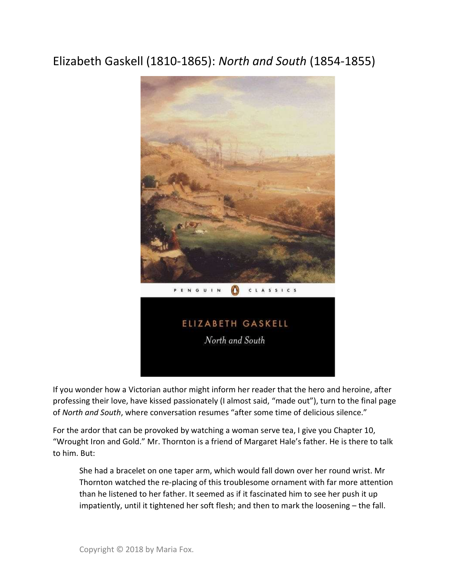## Elizabeth Gaskell (1810-1865): North and South (1854-1855)



If you wonder how a Victorian author might inform her reader that the hero and heroine, after professing their love, have kissed passionately (I almost said, "made out"), turn to the final page of North and South, where conversation resumes "after some time of delicious silence."

For the ardor that can be provoked by watching a woman serve tea, I give you Chapter 10, "Wrought Iron and Gold." Mr. Thornton is a friend of Margaret Hale's father. He is there to talk to him. But:

She had a bracelet on one taper arm, which would fall down over her round wrist. Mr Thornton watched the re-placing of this troublesome ornament with far more attention than he listened to her father. It seemed as if it fascinated him to see her push it up impatiently, until it tightened her soft flesh; and then to mark the loosening – the fall.